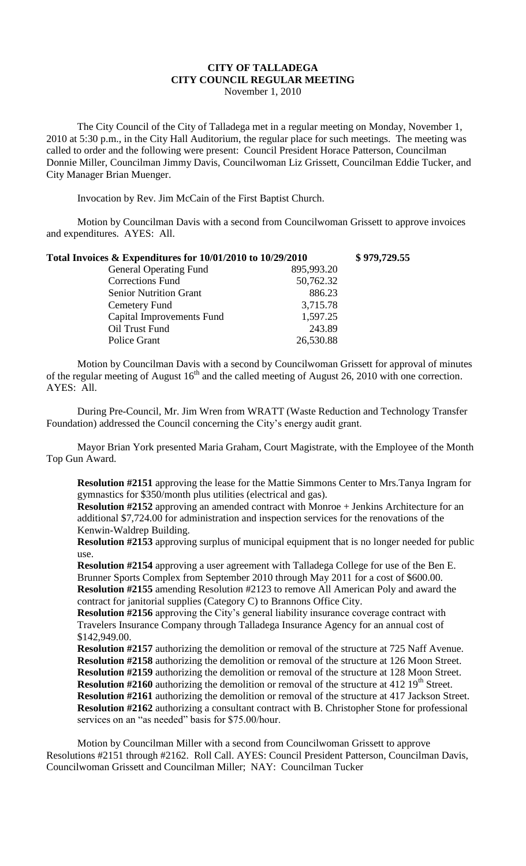## **CITY OF TALLADEGA CITY COUNCIL REGULAR MEETING** November 1, 2010

The City Council of the City of Talladega met in a regular meeting on Monday, November 1, 2010 at 5:30 p.m., in the City Hall Auditorium, the regular place for such meetings. The meeting was called to order and the following were present: Council President Horace Patterson, Councilman Donnie Miller, Councilman Jimmy Davis, Councilwoman Liz Grissett, Councilman Eddie Tucker, and City Manager Brian Muenger.

Invocation by Rev. Jim McCain of the First Baptist Church.

Motion by Councilman Davis with a second from Councilwoman Grissett to approve invoices and expenditures. AYES: All.

| Total Invoices & Expenditures for 10/01/2010 to 10/29/2010 | \$979,729.55 |
|------------------------------------------------------------|--------------|
| <b>General Operating Fund</b><br>895,993.20                |              |
| <b>Corrections Fund</b><br>50,762.32                       |              |
| 886.23<br><b>Senior Nutrition Grant</b>                    |              |
| 3,715.78<br>Cemetery Fund                                  |              |
| <b>Capital Improvements Fund</b><br>1,597.25               |              |
| 243.89<br>Oil Trust Fund                                   |              |
| 26,530.88<br><b>Police Grant</b>                           |              |

Motion by Councilman Davis with a second by Councilwoman Grissett for approval of minutes of the regular meeting of August  $16<sup>th</sup>$  and the called meeting of August 26, 2010 with one correction. AYES: All.

During Pre-Council, Mr. Jim Wren from WRATT (Waste Reduction and Technology Transfer Foundation) addressed the Council concerning the City's energy audit grant.

Mayor Brian York presented Maria Graham, Court Magistrate, with the Employee of the Month Top Gun Award.

**Resolution #2151** approving the lease for the Mattie Simmons Center to Mrs.Tanya Ingram for gymnastics for \$350/month plus utilities (electrical and gas).

**Resolution #2152** approving an amended contract with Monroe + Jenkins Architecture for an additional \$7,724.00 for administration and inspection services for the renovations of the Kenwin-Waldrep Building.

**Resolution #2153** approving surplus of municipal equipment that is no longer needed for public use.

**Resolution #2154** approving a user agreement with Talladega College for use of the Ben E. Brunner Sports Complex from September 2010 through May 2011 for a cost of \$600.00. **Resolution #2155** amending Resolution #2123 to remove All American Poly and award the contract for janitorial supplies (Category C) to Brannons Office City.

**Resolution #2156** approving the City's general liability insurance coverage contract with Travelers Insurance Company through Talladega Insurance Agency for an annual cost of \$142,949.00.

**Resolution #2157** authorizing the demolition or removal of the structure at 725 Naff Avenue. **Resolution #2158** authorizing the demolition or removal of the structure at 126 Moon Street. **Resolution #2159** authorizing the demolition or removal of the structure at 128 Moon Street. **Resolution #2160** authorizing the demolition or removal of the structure at 412 19<sup>th</sup> Street. **Resolution #2161** authorizing the demolition or removal of the structure at 417 Jackson Street. **Resolution #2162** authorizing a consultant contract with B. Christopher Stone for professional services on an "as needed" basis for \$75.00/hour.

Motion by Councilman Miller with a second from Councilwoman Grissett to approve Resolutions #2151 through #2162. Roll Call. AYES: Council President Patterson, Councilman Davis, Councilwoman Grissett and Councilman Miller; NAY: Councilman Tucker